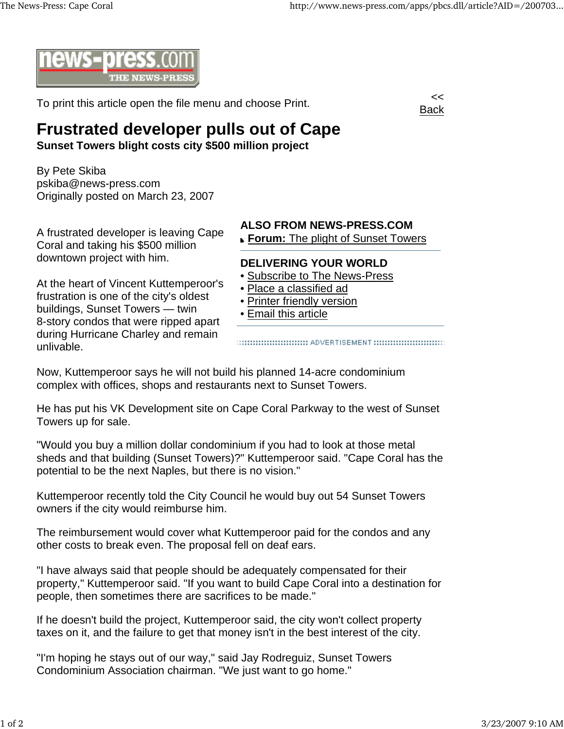

To print this article open the file menu and choose Print.



## **Frustrated developer pulls out of Cape**

**Sunset Towers blight costs city \$500 million project**

By Pete Skiba pskiba@news-press.com Originally posted on March 23, 2007

A frustrated developer is leaving Cape Coral and taking his \$500 million downtown project with him.

At the heart of Vincent Kuttemperoor's frustration is one of the city's oldest buildings, Sunset Towers — twin 8-story condos that were ripped apart during Hurricane Charley and remain unlivable.

## **ALSO FROM NEWS-PRESS.COM**

**Forum:** The plight of Sunset Towers

## **DELIVERING YOUR WORLD**

- Subscribe to The News-Press
- Place a classified ad
- Printer friendly version
- Email this article

::::::::::::::::::::::::::::::::: ADVERTISEMENT ::::::::::::::::::::::::::::::::

Now, Kuttemperoor says he will not build his planned 14-acre condominium complex with offices, shops and restaurants next to Sunset Towers.

He has put his VK Development site on Cape Coral Parkway to the west of Sunset Towers up for sale.

"Would you buy a million dollar condominium if you had to look at those metal sheds and that building (Sunset Towers)?" Kuttemperoor said. "Cape Coral has the potential to be the next Naples, but there is no vision."

Kuttemperoor recently told the City Council he would buy out 54 Sunset Towers owners if the city would reimburse him.

The reimbursement would cover what Kuttemperoor paid for the condos and any other costs to break even. The proposal fell on deaf ears.

"I have always said that people should be adequately compensated for their property," Kuttemperoor said. "If you want to build Cape Coral into a destination for people, then sometimes there are sacrifices to be made."

If he doesn't build the project, Kuttemperoor said, the city won't collect property taxes on it, and the failure to get that money isn't in the best interest of the city.

"I'm hoping he stays out of our way," said Jay Rodreguiz, Sunset Towers Condominium Association chairman. "We just want to go home."